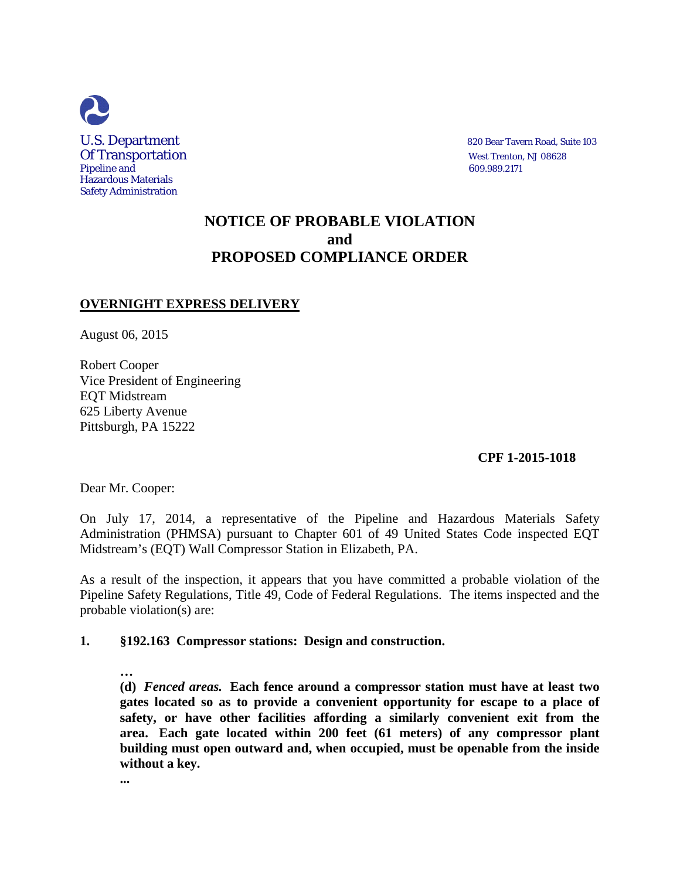

# **NOTICE OF PROBABLE VIOLATION and PROPOSED COMPLIANCE ORDER**

## **OVERNIGHT EXPRESS DELIVERY**

August 06, 2015

Robert Cooper Vice President of Engineering EQT Midstream 625 Liberty Avenue Pittsburgh, PA 15222

 **CPF 1-2015-1018**

Dear Mr. Cooper:

On July 17, 2014, a representative of the Pipeline and Hazardous Materials Safety Administration (PHMSA) pursuant to Chapter 601 of 49 United States Code inspected EQT Midstream's (EQT) Wall Compressor Station in Elizabeth, PA.

As a result of the inspection, it appears that you have committed a probable violation of the Pipeline Safety Regulations, Title 49, Code of Federal Regulations. The items inspected and the probable violation(s) are:

### **1. §192.163 Compressor stations: Design and construction.**

**… (d)** *Fenced areas.* **Each fence around a compressor station must have at least two gates located so as to provide a convenient opportunity for escape to a place of safety, or have other facilities affording a similarly convenient exit from the area. Each gate located within 200 feet (61 meters) of any compressor plant building must open outward and, when occupied, must be openable from the inside without a key.**

**...**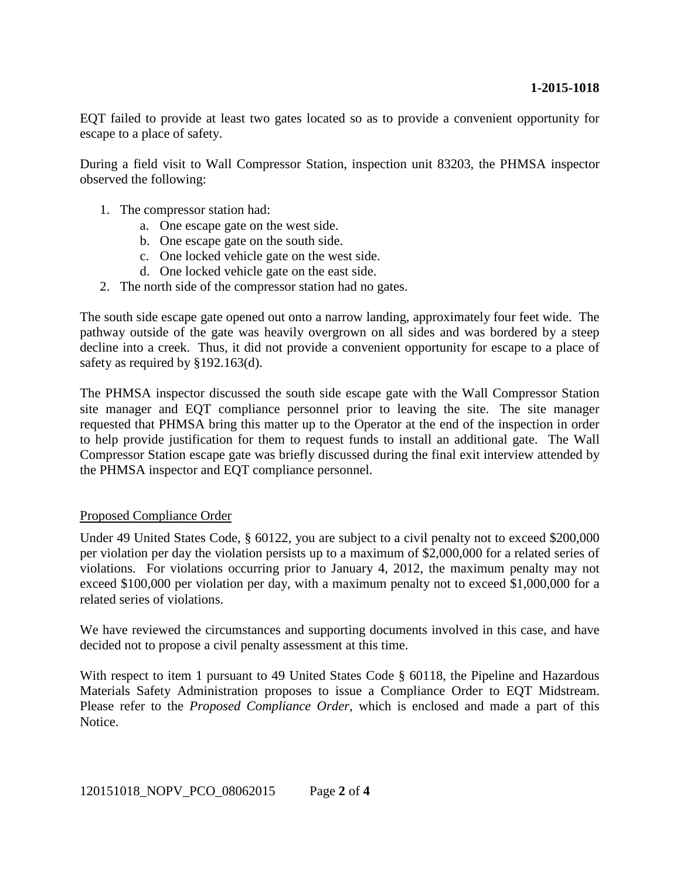EQT failed to provide at least two gates located so as to provide a convenient opportunity for escape to a place of safety.

During a field visit to Wall Compressor Station, inspection unit 83203, the PHMSA inspector observed the following:

- 1. The compressor station had:
	- a. One escape gate on the west side.
	- b. One escape gate on the south side.
	- c. One locked vehicle gate on the west side.
	- d. One locked vehicle gate on the east side.
- 2. The north side of the compressor station had no gates.

The south side escape gate opened out onto a narrow landing, approximately four feet wide. The pathway outside of the gate was heavily overgrown on all sides and was bordered by a steep decline into a creek. Thus, it did not provide a convenient opportunity for escape to a place of safety as required by §192.163(d).

The PHMSA inspector discussed the south side escape gate with the Wall Compressor Station site manager and EQT compliance personnel prior to leaving the site. The site manager requested that PHMSA bring this matter up to the Operator at the end of the inspection in order to help provide justification for them to request funds to install an additional gate. The Wall Compressor Station escape gate was briefly discussed during the final exit interview attended by the PHMSA inspector and EQT compliance personnel.

#### Proposed Compliance Order

Under 49 United States Code, § 60122, you are subject to a civil penalty not to exceed \$200,000 per violation per day the violation persists up to a maximum of \$2,000,000 for a related series of violations. For violations occurring prior to January 4, 2012, the maximum penalty may not exceed \$100,000 per violation per day, with a maximum penalty not to exceed \$1,000,000 for a related series of violations.

We have reviewed the circumstances and supporting documents involved in this case, and have decided not to propose a civil penalty assessment at this time.

With respect to item 1 pursuant to 49 United States Code § 60118, the Pipeline and Hazardous Materials Safety Administration proposes to issue a Compliance Order to EQT Midstream. Please refer to the *Proposed Compliance Order*, which is enclosed and made a part of this Notice.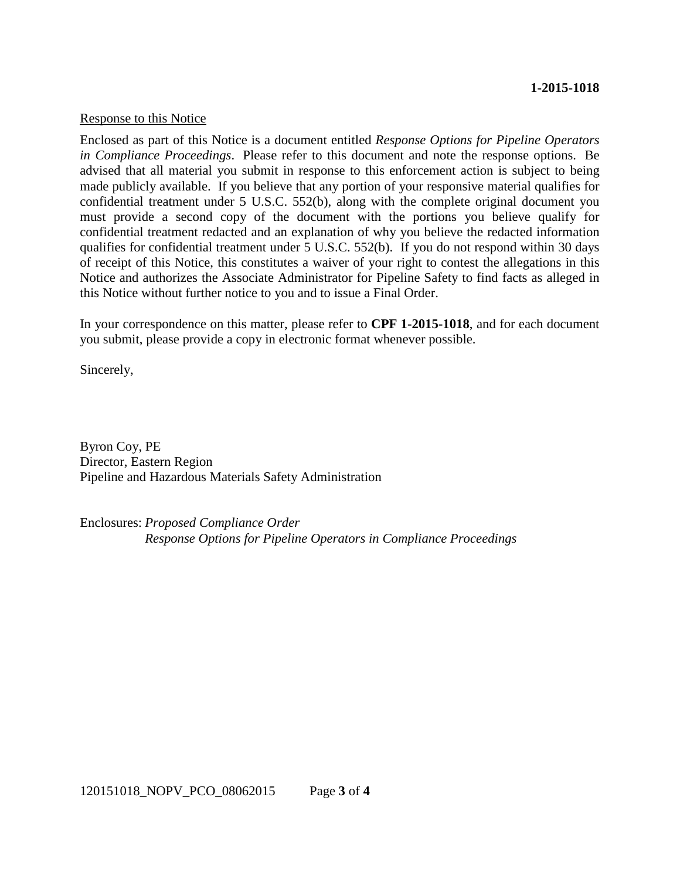#### **1-2015-1018**

#### Response to this Notice

Enclosed as part of this Notice is a document entitled *Response Options for Pipeline Operators in Compliance Proceedings*. Please refer to this document and note the response options. Be advised that all material you submit in response to this enforcement action is subject to being made publicly available. If you believe that any portion of your responsive material qualifies for confidential treatment under 5 U.S.C. 552(b), along with the complete original document you must provide a second copy of the document with the portions you believe qualify for confidential treatment redacted and an explanation of why you believe the redacted information qualifies for confidential treatment under 5 U.S.C. 552(b). If you do not respond within 30 days of receipt of this Notice, this constitutes a waiver of your right to contest the allegations in this Notice and authorizes the Associate Administrator for Pipeline Safety to find facts as alleged in this Notice without further notice to you and to issue a Final Order.

In your correspondence on this matter, please refer to **CPF 1-2015-1018**, and for each document you submit, please provide a copy in electronic format whenever possible.

Sincerely,

Byron Coy, PE Director, Eastern Region Pipeline and Hazardous Materials Safety Administration

Enclosures: *Proposed Compliance Order Response Options for Pipeline Operators in Compliance Proceedings*